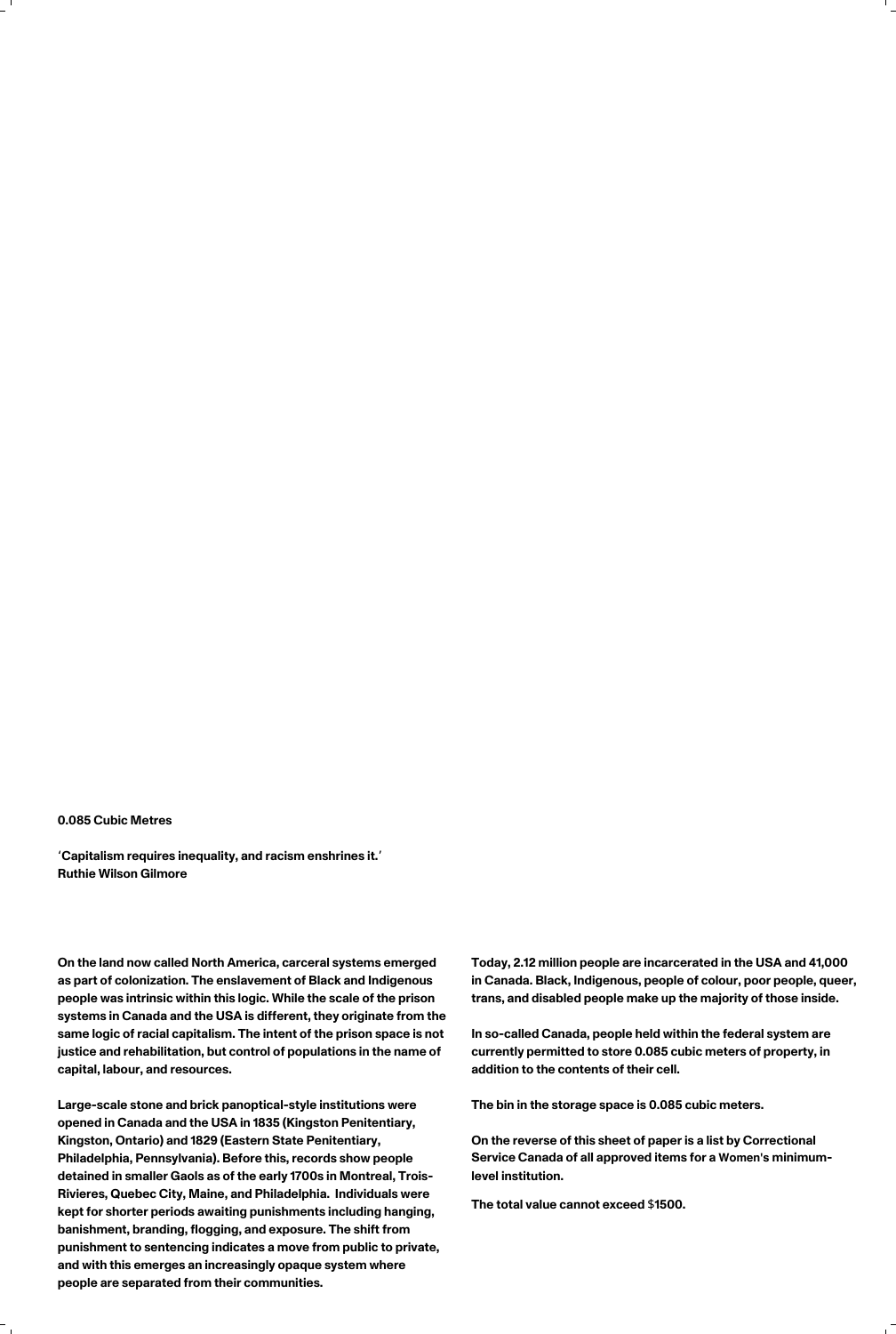## 0.085 Cubic Metres

'Capitalism requires inequality, and racism enshrines it.' Ruthie Wilson Gilmore

On the land now called North America, carceral systems emerged as part of colonization. The enslavement of Black and Indigenous people was intrinsic within this logic. While the scale of the prison systems in Canada and the USA is different, they originate from the same logic of racial capitalism. The intent of the prison space is not justice and rehabilitation, but control of populations in the name of capital, labour, and resources.

Large-scale stone and brick panoptical-style institutions were opened in Canada and the USA in 1835 (Kingston Penitentiary, Kingston, Ontario) and 1829 (Eastern State Penitentiary, Philadelphia, Pennsylvania). Before this, records show people detained in smaller Gaols as of the early 1700s in Montreal, Trois-Rivieres, Quebec City, Maine, and Philadelphia. Individuals were kept for shorter periods awaiting punishments including hanging, banishment, branding, flogging, and exposure. The shift from punishment to sentencing indicates a move from public to private, and with this emerges an increasingly opaque system where people are separated from their communities.

In so-called Canada, people held within the federal system are currently permitted to store 0.085 cubic meters of property, in addition to the contents of their cell.

Today, 2.12 million people are incarcerated in the USA and 41,000 in Canada. Black, Indigenous, people of colour, poor people, queer, trans, and disabled people make up the majority of those inside.

The bin in the storage space is 0.085 cubic meters.

On the reverse of this sheet of paper is a list by Correctional Service Canada of all approved items for a Women's minimumlevel institution.

The total value cannot exceed \$1500.